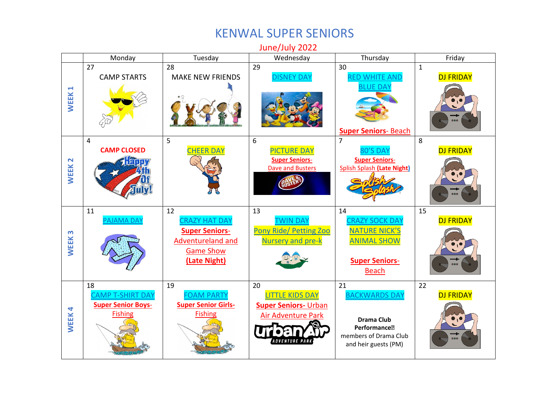## KENWAL SUPER SENIORS

Monday | Tuesday | Wednesday | Thursday | Friday 28 30 1 27 29 MAKE NEW FRIENDS [DISNEY DAY](https://www.kenwaldaycamp.com/wp-content/uploads/2022/04/Disney-spirit-day.docx.pdf) [RED WHITE AND](https://www.kenwaldaycamp.com/wp-content/uploads/2022/04/red-white-and-blue-spirit-day.docx.pdf)  DJ FRIDAY CAMP STARTS **[BLUE DAY](https://www.kenwaldaycamp.com/wp-content/uploads/2022/04/red-white-and-blue-spirit-day.docx.pdf) WEEK 1 Super [Seniors](https://www.kenwaldaycamp.com/wp-content/uploads/2022/04/SRS-BCH-.pdf)**- Beach 5 6 7 8 4 **CAMP CLOSED** [PICTURE DAY](https://www.kenwaldaycamp.com/wp-content/uploads/2022/04/Picture-day.pdf) DJ FRIDAY **HEER DAY** S DAY **[Super Seniors](https://www.kenwaldaycamp.com/wp-content/uploads/2022/04/SRS-SS-8-3-22-1.pdf)**-**Super [Seniors](https://www.kenwaldaycamp.com/wp-content/uploads/2022/04/SRS-DB-7-6-22-1.pdf)**-**WEEK 2** [Dave and Busters](https://www.kenwaldaycamp.com/wp-content/uploads/2022/04/SRS-DB-7-6-22-1.pdf) [Splish Splash](https://www.kenwaldaycamp.com/wp-content/uploads/2022/04/SRS-SS-8-3-22-1.pdf) **(Late Night)** 12 13 15 14 11 [PAJAMA DAY](https://www.kenwaldaycamp.com/wp-content/uploads/2022/04/Pajama-spirit-day.pdf) [CRAZY HAT DAY](https://www.kenwaldaycamp.com/wp-content/uploads/2022/04/Crazy-Hat-Spirit-Day.pdf) [TWIN DAY](https://www.kenwaldaycamp.com/wp-content/uploads/2022/04/Twin-Spirit-Day.docx.pdf) [CRAZY SOCK DAY](https://www.kenwaldaycamp.com/wp-content/uploads/2022/04/Crazy-Sock-Spirit-Day.pdf) DJ FRIDAY Pony Ride/ [Petting Zoo](https://www.kenwaldaycamp.com/wp-content/uploads/2022/04/Pony-ride-and-petting-zoo.docx.pdf) **[Super Seniors](https://www.kenwaldaycamp.com/wp-content/uploads/2022/04/SRS-DD-7-12-22-1.pdf)**-[NATURE NICK'S](https://www.kenwaldaycamp.com/wp-content/uploads/2022/04/Nature-Nick.docx.pdf) **WEEK 3** [Adventureland and](https://www.kenwaldaycamp.com/wp-content/uploads/2022/04/SRS-DD-7-12-22-1.pdf)  Nursery [and pre-k](https://www.kenwaldaycamp.com/wp-content/uploads/2022/04/Pony-ride-and-petting-zoo.docx.pdf) [ANIMAL SHOW](https://www.kenwaldaycamp.com/wp-content/uploads/2022/04/Nature-Nick.docx.pdf) [Game Show](https://www.kenwaldaycamp.com/wp-content/uploads/2022/04/SRS-DD-7-12-22-1.pdf)  **[\(Late Night\)](https://www.kenwaldaycamp.com/wp-content/uploads/2022/04/SRS-DD-7-12-22-1.pdf) [Super Seniors](https://www.kenwaldaycamp.com/wp-content/uploads/2022/04/SRS-BCH-.pdf)**-[Beach](https://www.kenwaldaycamp.com/wp-content/uploads/2022/04/SRS-BCH-.pdf) 19 21 22 18 20 [LITTLE KIDS DAY](https://www.kenwaldaycamp.com/wp-content/uploads/2022/04/Little-kids-day.docx.pdf) [CAMP T-SHIRT DAY](https://www.kenwaldaycamp.com/wp-content/uploads/2022/04/Camp-T-Shirt-Spirit-Day.docx.pdf) [FOAM PARTY](https://www.kenwaldaycamp.com/wp-content/uploads/2022/04/Foam-party.docx.pdf) [BACKWARDS DAY](https://www.kenwaldaycamp.com/wp-content/uploads/2022/04/Backwards-Spirit-Day.docx.pdf) DJ FRIDAY **[Super Senior](https://www.kenwaldaycamp.com/wp-content/uploads/2022/04/SRB-Fish-7-18-22-1.pdf) Boys**-**[Super Senior](https://www.kenwaldaycamp.com/wp-content/uploads/2022/04/SRG-Fish-7-19-22-1.pdf) Girls-[Super Seniors-](https://www.kenwaldaycamp.com/wp-content/uploads/2022/04/SS-UA-7-20-22.pdf)** Urban **WEEK 4** [Fishing](https://www.kenwaldaycamp.com/wp-content/uploads/2022/04/SRB-Fish-7-18-22-1.pdf) [Fishing](https://www.kenwaldaycamp.com/wp-content/uploads/2022/04/SRG-Fish-7-19-22-1.pdf) [Air Adventure Park](https://www.kenwaldaycamp.com/wp-content/uploads/2022/04/SS-UA-7-20-22.pdf) **Drama Club Performance�** members of Drama Club *ADVENTURE PAR* and heir guests (PM)

June/July 2022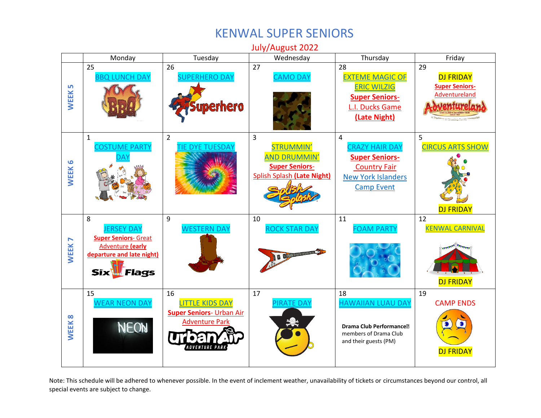## KENWAL SUPER SENIORS

July/August 2022 Monday | Tuesday | Wednesday | Thursday | Friday 26 25 27 28 29 **[BBQ LUNCH DAY](https://www.kenwaldaycamp.com/wp-content/uploads/2022/04/BBQ.pdf)** [SUPERHERO DAY](https://www.kenwaldaycamp.com/wp-content/uploads/2022/04/Superhero-Spirit-Day.docx.pdf) [CAMO DAY](https://www.kenwaldaycamp.com/wp-content/uploads/2022/04/Camo-Spirit-Day.pdf) [EXTEME MAGIC OF](https://www.kenwaldaycamp.com/wp-content/uploads/2022/04/Eric-Wilzig.docx.pdf)  DJ FRIDAY [ERIC WILZIG](https://www.kenwaldaycamp.com/wp-content/uploads/2022/04/Eric-Wilzig.docx.pdf) **[Super Seniors-](https://www.kenwaldaycamp.com/wp-content/uploads/2022/04/SRS-Aland-7-29-22-1.pdf)WEEK 5** [Adventureland](https://www.kenwaldaycamp.com/wp-content/uploads/2022/04/SRS-Aland-7-29-22-1.pdf) **[Super Seniors](https://www.kenwaldaycamp.com/wp-content/uploads/2022/04/SRS-ducks-7-28-22-1.pdf)**uperhero [L.I. Ducks Game](https://www.kenwaldaycamp.com/wp-content/uploads/2022/04/SRS-ducks-7-28-22-1.pdf) **[\(Late Night\)](https://www.kenwaldaycamp.com/wp-content/uploads/2022/04/SRS-ducks-7-28-22-1.pdf)** 2 4 5 1 3 COSTUME PARTY [STRUMMIN'](https://www.kenwaldaycamp.com/wp-content/uploads/2022/04/Strummin-and-drummin.docx.pdf) [CRAZY HAIR DAY](https://www.kenwaldaycamp.com/wp-content/uploads/2022/04/crazy-hair-Spirit-Day.pdf) [CIRCUS ARTS SHOW](https://www.kenwaldaycamp.com/wp-content/uploads/2022/04/Circus-Arts-Show.docx.pdf) **TIE DYE TUESDA** [AND DRUMMIN'](https://www.kenwaldaycamp.com/wp-content/uploads/2022/04/Strummin-and-drummin.docx.pdf) **[DAY](https://www.kenwaldaycamp.com/wp-content/uploads/2022/04/Costume-party-Spirit-Day.docx.pdf) [Super Seniors-](https://www.kenwaldaycamp.com/wp-content/uploads/2022/04/SS-CF-8-4-22-1.pdf)WEEK 6 [Super Seniors](https://www.kenwaldaycamp.com/wp-content/uploads/2022/04/SRS-SS-8-3-22.pdf)**-[Country Fair](https://www.kenwaldaycamp.com/wp-content/uploads/2022/04/SS-CF-8-4-22-1.pdf) [Splish Splash](https://www.kenwaldaycamp.com/wp-content/uploads/2022/04/SRS-SS-8-3-22.pdf) **(Late Night)** [New York Islanders](https://www.kenwaldaycamp.com/wp-content/uploads/2022/04/NY-Isalnders-ICE-tour-event.docx.pdf)  [Camp](https://www.kenwaldaycamp.com/wp-content/uploads/2022/04/NY-Isalnders-ICE-tour-event.docx.pdf) Event DJ FRIDAY 9 8 10 11 12 **ERSEY DAY** [WESTERN DAY](https://www.kenwaldaycamp.com/wp-content/uploads/2022/04/Western-Day-Spirit-Day.docx.pdf) **OCK STAR DAY CAM PARTY** [KENWAL CARNIVAL](https://www.kenwaldaycamp.com/wp-content/uploads/2022/04/Kenwal-Carnival.docx.pdf) **[Super Seniors](https://www.kenwaldaycamp.com/wp-content/uploads/2022/04/SRS-GA-8-8-22-1.pdf)**- Great **WEEK 7** [Adventure](https://www.kenwaldaycamp.com/wp-content/uploads/2022/04/SRS-GA-8-8-22-1.pdf) **(early [departure and late night\)](https://www.kenwaldaycamp.com/wp-content/uploads/2022/04/SRS-GA-8-8-22-1.pdf) AB BILLE Six Flags** DJ FRIDAY 15 16 17 18 19 [WEAR NEON DAY](https://www.kenwaldaycamp.com/wp-content/uploads/2022/04/Wear-neon-Spirit-Day.docx.pdf) [LITTLE KIDS DAY](https://www.kenwaldaycamp.com/wp-content/uploads/2022/04/Little-kids-day.docx.pdf) [HAWAIIAN LUAU DAY](https://www.kenwaldaycamp.com/wp-content/uploads/2022/04/Hawaiian-Luau-Spirit-Day.docx.pdf) CAMP ENDS [PIRATE DAY](https://www.kenwaldaycamp.com/wp-content/uploads/2022/04/Pirate-Spirit-Day.docx.pdf) **[Super Seniors](https://www.kenwaldaycamp.com/wp-content/uploads/2022/04/SS-UA-8-16-226466.pdf)**- Urban Air **WEEK 8** [Adventure Park](https://www.kenwaldaycamp.com/wp-content/uploads/2022/04/SS-UA-8-16-226466.pdf) NEON **Drama Club Performance�** members of Drama Club and their guests (PM)*INVENTURE* DJ FRIDAY

Note: This schedule will be adhered to whenever possible. In the event of inclement weather, unavailability of tickets or circumstances beyond our control, all special events are subject to change.